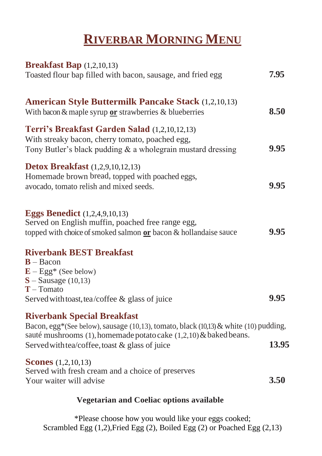## **RIVERBAR MORNING MENU**

| <b>Breakfast Bap</b> (1,2,10,13)                                                                                                                                                                                                                  |       |
|---------------------------------------------------------------------------------------------------------------------------------------------------------------------------------------------------------------------------------------------------|-------|
| Toasted flour bap filled with bacon, sausage, and fried egg                                                                                                                                                                                       | 7.95  |
| <b>American Style Buttermilk Pancake Stack</b> (1,2,10,13)<br>With bacon & maple syrup or strawberries & blueberries                                                                                                                              | 8.50  |
| Terri's Breakfast Garden Salad (1,2,10,12,13)<br>With streaky bacon, cherry tomato, poached egg,<br>Tony Butler's black pudding $\&$ a wholegrain mustard dressing                                                                                | 9.95  |
| <b>Detox Breakfast</b> (1,2,9,10,12,13)<br>Homemade brown bread, topped with poached eggs,<br>avocado, tomato relish and mixed seeds.                                                                                                             | 9.95  |
| <b>Eggs Benedict</b> (1,2,4,9,10,13)<br>Served on English muffin, poached free range egg,<br>topped with choice of smoked salmon or bacon & hollandaise sauce                                                                                     | 9.95  |
| <b>Riverbank BEST Breakfast</b><br>$B - Bacon$<br>$E - Egg^*$ (See below)<br>$S -$ Sausage (10,13)<br>$T - Tomato$<br>Served with toast, tea/coffee & glass of juice                                                                              | 9.95  |
| <b>Riverbank Special Breakfast</b><br>Bacon, egg*(See below), sausage (10,13), tomato, black (10,13) & white (10) pudding,<br>sauté mushrooms (1), homemade potato cake (1,2,10) & baked beans.<br>Served with tea/coffee, toast & glass of juice | 13.95 |
| <b>Scones</b> $(1,2,10,13)$<br>Served with fresh cream and a choice of preserves<br>Your waiter will advise                                                                                                                                       | 3.50  |
|                                                                                                                                                                                                                                                   |       |

## **Vegetarian and Coeliac options available**

\*Please choose how you would like your eggs cooked; Scrambled Egg  $(1,2)$ , Fried Egg  $(2)$ , Boiled Egg  $(2)$  or Poached Egg  $(2,13)$